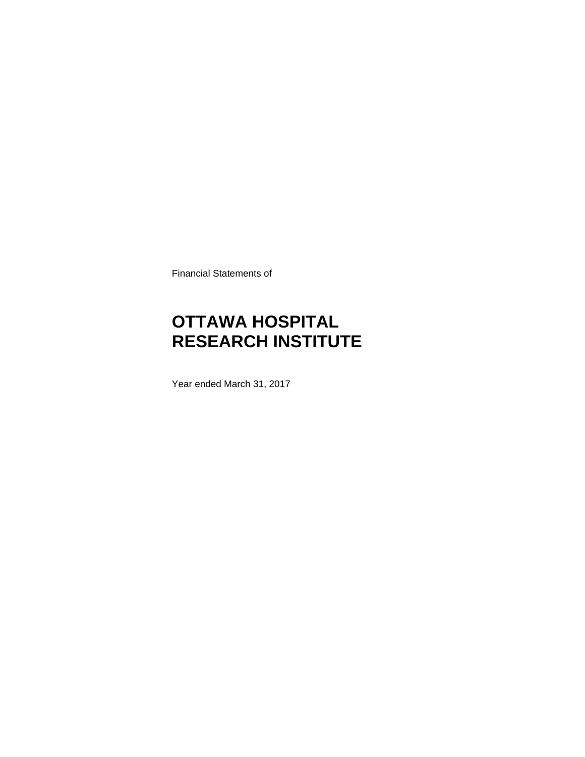Financial Statements of

# **OTTAWA HOSPITAL RESEARCH INSTITUTE**

Year ended March 31, 2017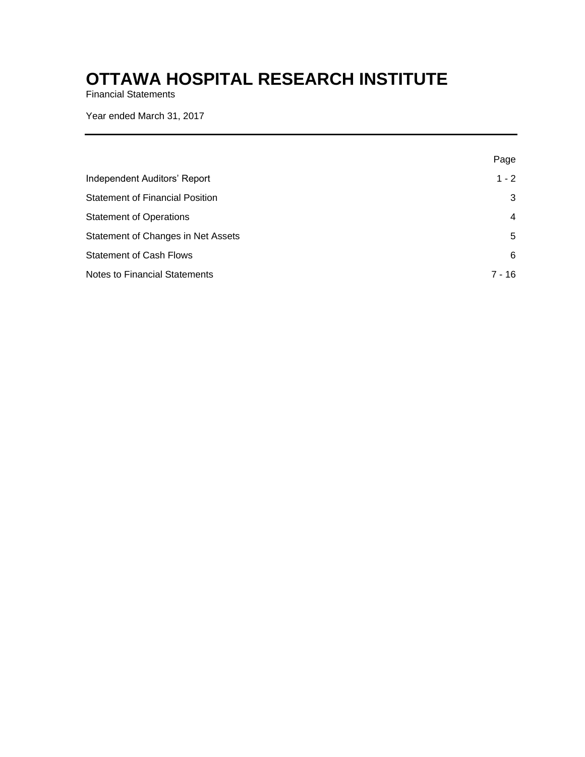Financial Statements

Year ended March 31, 2017

|                                        | Page           |
|----------------------------------------|----------------|
| <b>Independent Auditors' Report</b>    | $1 - 2$        |
| <b>Statement of Financial Position</b> | 3              |
| <b>Statement of Operations</b>         | $\overline{4}$ |
| Statement of Changes in Net Assets     | 5              |
| <b>Statement of Cash Flows</b>         | 6              |
| <b>Notes to Financial Statements</b>   | 7 - 16         |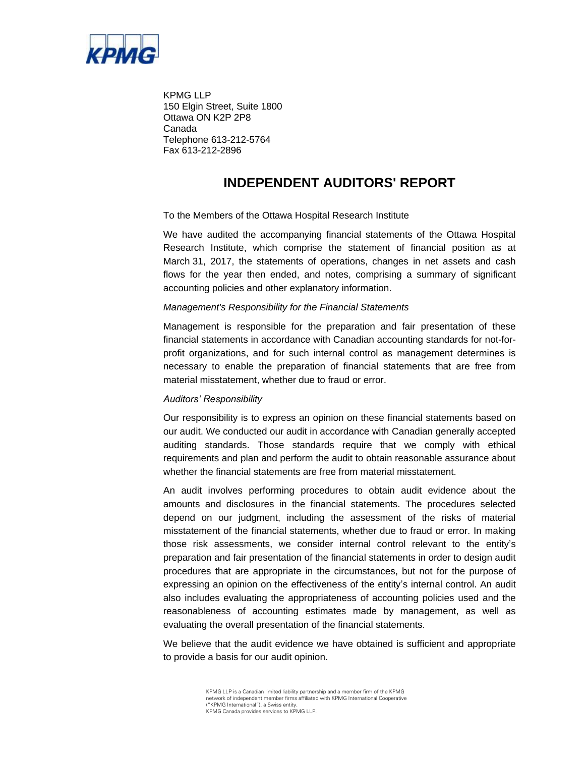

KPMG LLP 150 Elgin Street, Suite 1800 Ottawa ON K2P 2P8 Canada Telephone 613-212-5764 Fax 613-212-2896

### **INDEPENDENT AUDITORS' REPORT**

#### To the Members of the Ottawa Hospital Research Institute

We have audited the accompanying financial statements of the Ottawa Hospital Research Institute, which comprise the statement of financial position as at March 31, 2017, the statements of operations, changes in net assets and cash flows for the year then ended, and notes, comprising a summary of significant accounting policies and other explanatory information.

#### *Management's Responsibility for the Financial Statements*

Management is responsible for the preparation and fair presentation of these financial statements in accordance with Canadian accounting standards for not-forprofit organizations, and for such internal control as management determines is necessary to enable the preparation of financial statements that are free from material misstatement, whether due to fraud or error.

### *Auditors' Responsibility*

Our responsibility is to express an opinion on these financial statements based on our audit. We conducted our audit in accordance with Canadian generally accepted auditing standards. Those standards require that we comply with ethical requirements and plan and perform the audit to obtain reasonable assurance about whether the financial statements are free from material misstatement.

An audit involves performing procedures to obtain audit evidence about the amounts and disclosures in the financial statements. The procedures selected depend on our judgment, including the assessment of the risks of material misstatement of the financial statements, whether due to fraud or error. In making those risk assessments, we consider internal control relevant to the entity's preparation and fair presentation of the financial statements in order to design audit procedures that are appropriate in the circumstances, but not for the purpose of expressing an opinion on the effectiveness of the entity's internal control. An audit also includes evaluating the appropriateness of accounting policies used and the reasonableness of accounting estimates made by management, as well as evaluating the overall presentation of the financial statements.

We believe that the audit evidence we have obtained is sufficient and appropriate to provide a basis for our audit opinion.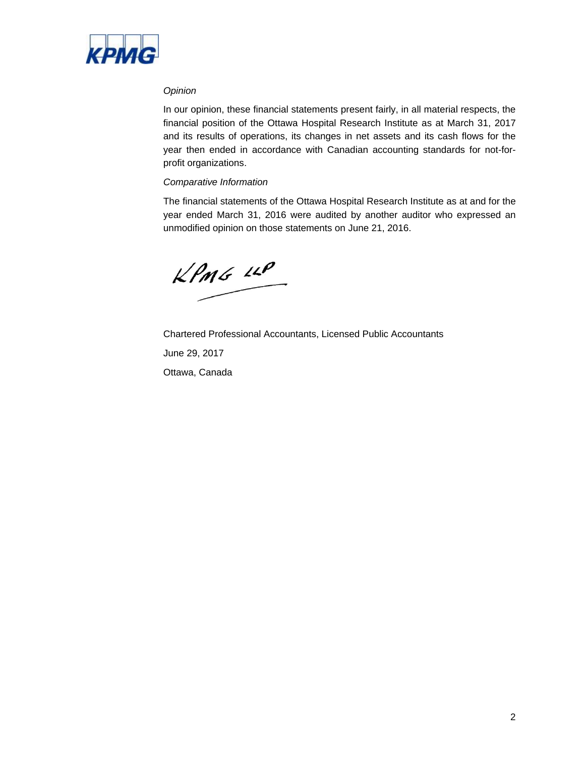

### *Opinion*

In our opinion, these financial statements present fairly, in all material respects, the financial position of the Ottawa Hospital Research Institute as at March 31, 2017 and its results of operations, its changes in net assets and its cash flows for the year then ended in accordance with Canadian accounting standards for not-forprofit organizations.

### *Comparative Information*

The financial statements of the Ottawa Hospital Research Institute as at and for the year ended March 31, 2016 were audited by another auditor who expressed an unmodified opinion on those statements on June 21, 2016.

 $KPMG$  14P

Chartered Professional Accountants, Licensed Public Accountants June 29, 2017 Ottawa, Canada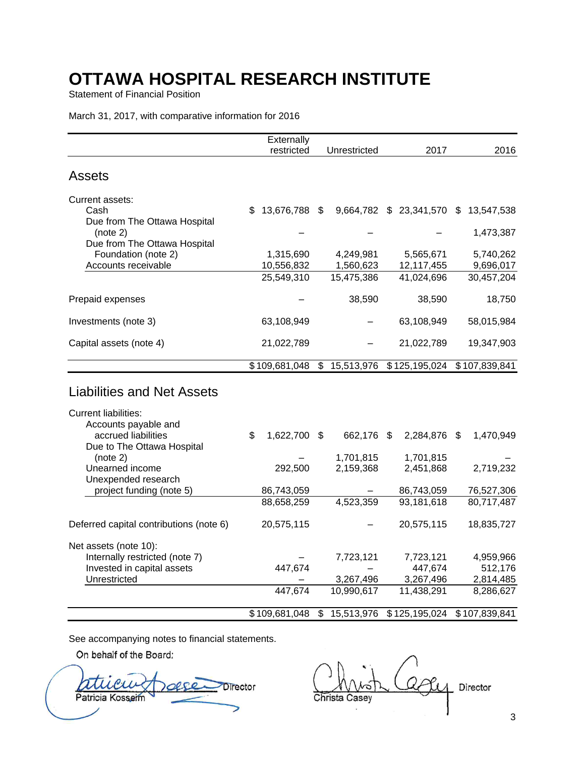Statement of Financial Position

### March 31, 2017, with comparative information for 2016

|                                                                                                       | Externally          |                        |                                       |                                   |
|-------------------------------------------------------------------------------------------------------|---------------------|------------------------|---------------------------------------|-----------------------------------|
|                                                                                                       | restricted          | Unrestricted           | 2017                                  | 2016                              |
| <b>Assets</b>                                                                                         |                     |                        |                                       |                                   |
| Current assets:                                                                                       |                     |                        |                                       |                                   |
| Cash                                                                                                  | \$<br>13,676,788 \$ |                        | 9,664,782 \$ 23,341,570 \$ 13,547,538 |                                   |
| Due from The Ottawa Hospital                                                                          |                     |                        |                                       |                                   |
| (note 2)<br>Due from The Ottawa Hospital                                                              |                     |                        |                                       | 1,473,387                         |
| Foundation (note 2)                                                                                   | 1,315,690           | 4,249,981              | 5,565,671                             | 5,740,262                         |
| Accounts receivable                                                                                   | 10,556,832          | 1,560,623              | 12,117,455                            | 9,696,017                         |
|                                                                                                       | 25,549,310          | 15,475,386             | 41,024,696                            | 30,457,204                        |
| Prepaid expenses                                                                                      |                     | 38,590                 | 38,590                                | 18,750                            |
| Investments (note 3)                                                                                  | 63,108,949          |                        | 63,108,949                            | 58,015,984                        |
| Capital assets (note 4)                                                                               | 21,022,789          |                        | 21,022,789                            | 19,347,903                        |
|                                                                                                       | \$109,681,048       | \$<br>15,513,976       | \$125,195,024                         | \$107,839,841                     |
| <b>Liabilities and Net Assets</b><br><b>Current liabilities:</b>                                      |                     |                        |                                       |                                   |
| Accounts payable and<br>accrued liabilities<br>Due to The Ottawa Hospital                             | \$<br>1,622,700 \$  | 662,176 \$             | 2,284,876 \$                          | 1,470,949                         |
| (note 2)                                                                                              |                     | 1,701,815              | 1,701,815                             |                                   |
| Unearned income<br>Unexpended research                                                                | 292,500             | 2,159,368              | 2,451,868                             | 2,719,232                         |
| project funding (note 5)                                                                              | 86,743,059          |                        | 86,743,059                            | 76,527,306                        |
|                                                                                                       | 88,658,259          | 4,523,359              | 93,181,618                            | 80,717,487                        |
| Deferred capital contributions (note 6)                                                               | 20,575,115          |                        | 20,575,115                            | 18,835,727                        |
| Net assets (note 10):<br>Internally restricted (note 7)<br>Invested in capital assets<br>Unrestricted | 447,674             | 7,723,121<br>3,267,496 | 7,723,121<br>447,674<br>3,267,496     | 4,959,966<br>512,176<br>2,814,485 |
|                                                                                                       | 447,674             | 10,990,617             | 11,438,291                            | 8,286,627                         |
|                                                                                                       | \$109,681,048       | \$<br>15,513,976       | \$125,195,024                         | \$107,839,841                     |

See accompanying notes to financial statements.

On behalf of the Board:

Patricia Kosseim Christa Casey

Atticum des Director Library Christa Casey Director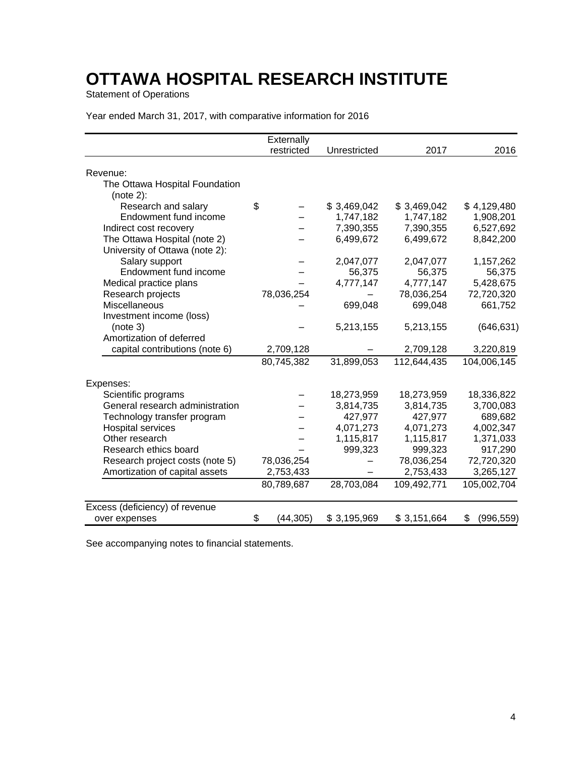Statement of Operations

| Year ended March 31, 2017, with comparative information for 2016 |  |  |  |  |
|------------------------------------------------------------------|--|--|--|--|
|------------------------------------------------------------------|--|--|--|--|

|                                            | Externally      |              |             |                  |
|--------------------------------------------|-----------------|--------------|-------------|------------------|
|                                            | restricted      | Unrestricted | 2017        | 2016             |
|                                            |                 |              |             |                  |
| Revenue:<br>The Ottawa Hospital Foundation |                 |              |             |                  |
| (note 2):                                  |                 |              |             |                  |
| Research and salary                        | \$              | \$3,469,042  | \$3,469,042 | \$4,129,480      |
| Endowment fund income                      | -               | 1,747,182    | 1,747,182   | 1,908,201        |
| Indirect cost recovery                     |                 | 7,390,355    | 7,390,355   | 6,527,692        |
| The Ottawa Hospital (note 2)               |                 | 6,499,672    | 6,499,672   | 8,842,200        |
| University of Ottawa (note 2):             |                 |              |             |                  |
| Salary support                             |                 | 2,047,077    | 2,047,077   | 1,157,262        |
| Endowment fund income                      |                 | 56,375       | 56,375      | 56,375           |
| Medical practice plans                     |                 | 4,777,147    | 4,777,147   | 5,428,675        |
| Research projects                          | 78,036,254      |              | 78,036,254  | 72,720,320       |
| Miscellaneous                              |                 | 699,048      | 699,048     | 661,752          |
| Investment income (loss)                   |                 |              |             |                  |
| (note 3)                                   |                 | 5,213,155    | 5,213,155   | (646, 631)       |
| Amortization of deferred                   |                 |              |             |                  |
| capital contributions (note 6)             | 2,709,128       |              | 2,709,128   | 3,220,819        |
|                                            | 80,745,382      | 31,899,053   | 112,644,435 | 104,006,145      |
| Expenses:                                  |                 |              |             |                  |
| Scientific programs                        |                 | 18,273,959   | 18,273,959  | 18,336,822       |
| General research administration            |                 | 3,814,735    | 3,814,735   | 3,700,083        |
| Technology transfer program                |                 | 427,977      | 427,977     | 689,682          |
| <b>Hospital services</b>                   |                 | 4,071,273    | 4,071,273   | 4,002,347        |
| Other research                             |                 | 1,115,817    | 1,115,817   | 1,371,033        |
| Research ethics board                      |                 | 999,323      | 999,323     | 917,290          |
| Research project costs (note 5)            | 78,036,254      |              | 78,036,254  | 72,720,320       |
| Amortization of capital assets             | 2,753,433       |              | 2,753,433   | 3,265,127        |
|                                            | 80,789,687      | 28,703,084   | 109,492,771 | 105,002,704      |
| Excess (deficiency) of revenue             |                 |              |             |                  |
| over expenses                              | \$<br>(44, 305) | \$3,195,969  | \$3,151,664 | \$<br>(996, 559) |

See accompanying notes to financial statements.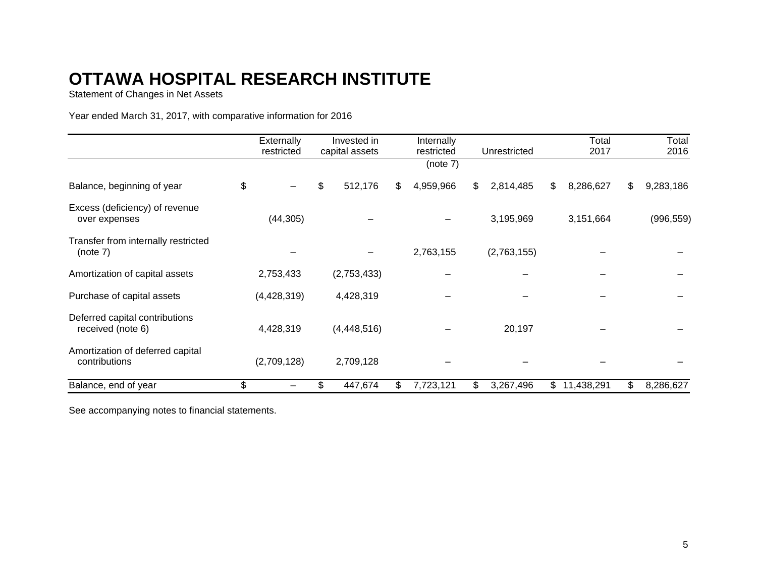Statement of Changes in Net Assets

Year ended March 31, 2017, with comparative information for 2016

|                                                     | Externally    | Invested in    | Internally      |                 | Total                  | Total      |
|-----------------------------------------------------|---------------|----------------|-----------------|-----------------|------------------------|------------|
|                                                     | restricted    | capital assets | restricted      | Unrestricted    | 2017                   | 2016       |
|                                                     |               |                | (note 7)        |                 |                        |            |
| Balance, beginning of year                          | \$            | \$<br>512,176  | 4,959,966<br>\$ | 2,814,485<br>S. | \$<br>\$<br>8,286,627  | 9,283,186  |
| Excess (deficiency) of revenue<br>over expenses     | (44, 305)     |                |                 | 3,195,969       | 3,151,664              | (996, 559) |
| Transfer from internally restricted<br>(note 7)     |               |                | 2,763,155       | (2,763,155)     |                        |            |
| Amortization of capital assets                      | 2,753,433     | (2,753,433)    |                 |                 |                        |            |
| Purchase of capital assets                          | (4, 428, 319) | 4,428,319      |                 |                 |                        |            |
| Deferred capital contributions<br>received (note 6) | 4,428,319     | (4,448,516)    |                 | 20,197          |                        |            |
| Amortization of deferred capital<br>contributions   | (2,709,128)   | 2,709,128      |                 |                 |                        |            |
| Balance, end of year                                | \$            | \$<br>447,674  | 7,723,121<br>S  | 3,267,496<br>\$ | 11,438,291<br>\$<br>\$ | 8,286,627  |

See accompanying notes to financial statements.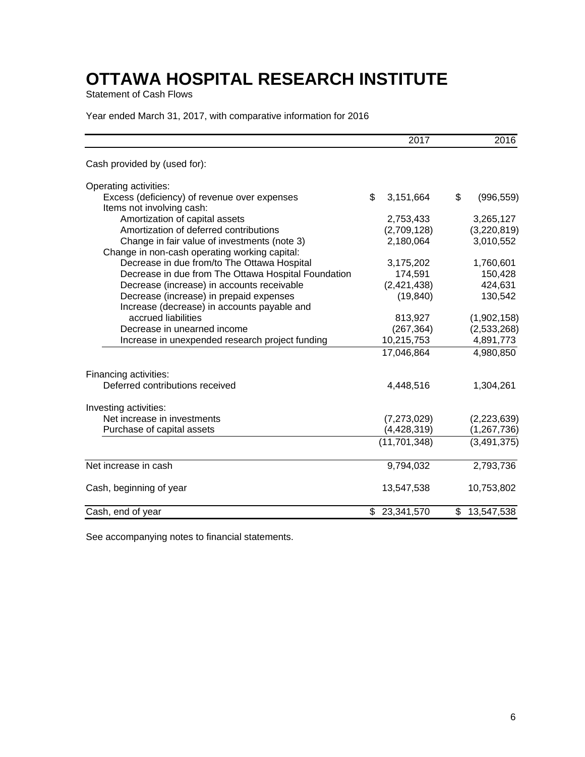Statement of Cash Flows

Year ended March 31, 2017, with comparative information for 2016

|                                                                           | 2017            | 2016             |
|---------------------------------------------------------------------------|-----------------|------------------|
| Cash provided by (used for):                                              |                 |                  |
| Operating activities:                                                     |                 |                  |
| Excess (deficiency) of revenue over expenses<br>Items not involving cash: | \$<br>3,151,664 | \$<br>(996, 559) |
| Amortization of capital assets                                            | 2,753,433       | 3,265,127        |
| Amortization of deferred contributions                                    | (2,709,128)     | (3,220,819)      |
| Change in fair value of investments (note 3)                              | 2,180,064       | 3,010,552        |
| Change in non-cash operating working capital:                             |                 |                  |
| Decrease in due from/to The Ottawa Hospital                               | 3,175,202       | 1,760,601        |
| Decrease in due from The Ottawa Hospital Foundation                       | 174,591         | 150,428          |
| Decrease (increase) in accounts receivable                                | (2,421,438)     | 424,631          |
| Decrease (increase) in prepaid expenses                                   | (19, 840)       | 130,542          |
| Increase (decrease) in accounts payable and                               |                 |                  |
| accrued liabilities                                                       | 813,927         | (1,902,158)      |
| Decrease in unearned income                                               | (267, 364)      | (2,533,268)      |
| Increase in unexpended research project funding                           | 10,215,753      | 4,891,773        |
|                                                                           | 17,046,864      | 4,980,850        |
| Financing activities:                                                     |                 |                  |
| Deferred contributions received                                           | 4,448,516       | 1,304,261        |
| Investing activities:                                                     |                 |                  |
| Net increase in investments                                               | (7, 273, 029)   | (2, 223, 639)    |
| Purchase of capital assets                                                | (4, 428, 319)   | (1, 267, 736)    |
|                                                                           | (11, 701, 348)  | (3, 491, 375)    |
| Net increase in cash                                                      | 9,794,032       | 2,793,736        |
| Cash, beginning of year                                                   | 13,547,538      | 10,753,802       |
| Cash, end of year                                                         | \$23,341,570    | \$<br>13,547,538 |

See accompanying notes to financial statements.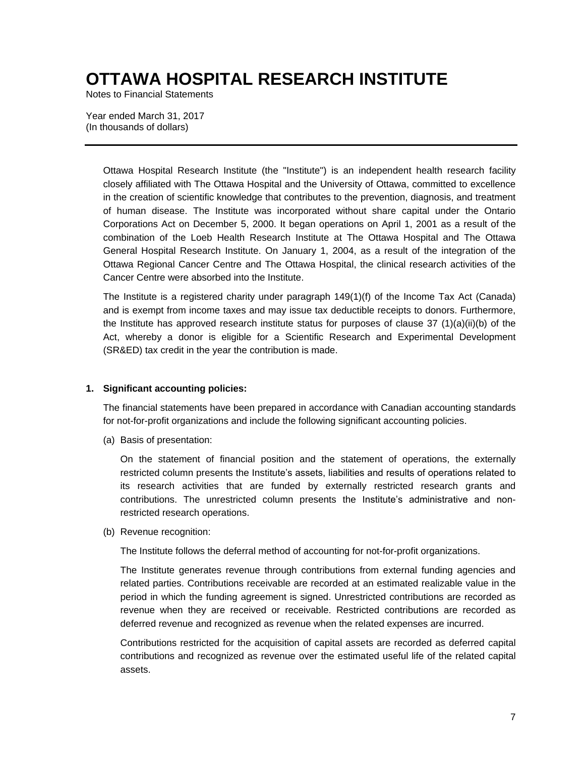Notes to Financial Statements

Year ended March 31, 2017 (In thousands of dollars)

> Ottawa Hospital Research Institute (the "Institute") is an independent health research facility closely affiliated with The Ottawa Hospital and the University of Ottawa, committed to excellence in the creation of scientific knowledge that contributes to the prevention, diagnosis, and treatment of human disease. The Institute was incorporated without share capital under the Ontario Corporations Act on December 5, 2000. It began operations on April 1, 2001 as a result of the combination of the Loeb Health Research Institute at The Ottawa Hospital and The Ottawa General Hospital Research Institute. On January 1, 2004, as a result of the integration of the Ottawa Regional Cancer Centre and The Ottawa Hospital, the clinical research activities of the Cancer Centre were absorbed into the Institute.

> The Institute is a registered charity under paragraph 149(1)(f) of the Income Tax Act (Canada) and is exempt from income taxes and may issue tax deductible receipts to donors. Furthermore, the Institute has approved research institute status for purposes of clause 37  $(1)(a)(ii)(b)$  of the Act, whereby a donor is eligible for a Scientific Research and Experimental Development (SR&ED) tax credit in the year the contribution is made.

### **1. Significant accounting policies:**

The financial statements have been prepared in accordance with Canadian accounting standards for not-for-profit organizations and include the following significant accounting policies.

(a) Basis of presentation:

On the statement of financial position and the statement of operations, the externally restricted column presents the Institute's assets, liabilities and results of operations related to its research activities that are funded by externally restricted research grants and contributions. The unrestricted column presents the Institute's administrative and nonrestricted research operations.

(b) Revenue recognition:

The Institute follows the deferral method of accounting for not-for-profit organizations.

The Institute generates revenue through contributions from external funding agencies and related parties. Contributions receivable are recorded at an estimated realizable value in the period in which the funding agreement is signed. Unrestricted contributions are recorded as revenue when they are received or receivable. Restricted contributions are recorded as deferred revenue and recognized as revenue when the related expenses are incurred.

Contributions restricted for the acquisition of capital assets are recorded as deferred capital contributions and recognized as revenue over the estimated useful life of the related capital assets.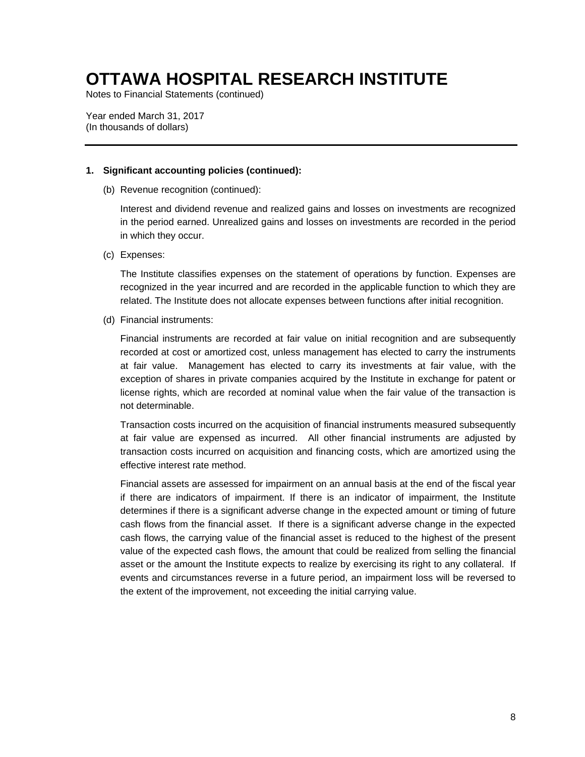Notes to Financial Statements (continued)

Year ended March 31, 2017 (In thousands of dollars)

#### **1. Significant accounting policies (continued):**

(b) Revenue recognition (continued):

Interest and dividend revenue and realized gains and losses on investments are recognized in the period earned. Unrealized gains and losses on investments are recorded in the period in which they occur.

(c) Expenses:

The Institute classifies expenses on the statement of operations by function. Expenses are recognized in the year incurred and are recorded in the applicable function to which they are related. The Institute does not allocate expenses between functions after initial recognition.

(d) Financial instruments:

Financial instruments are recorded at fair value on initial recognition and are subsequently recorded at cost or amortized cost, unless management has elected to carry the instruments at fair value. Management has elected to carry its investments at fair value, with the exception of shares in private companies acquired by the Institute in exchange for patent or license rights, which are recorded at nominal value when the fair value of the transaction is not determinable.

Transaction costs incurred on the acquisition of financial instruments measured subsequently at fair value are expensed as incurred. All other financial instruments are adjusted by transaction costs incurred on acquisition and financing costs, which are amortized using the effective interest rate method.

Financial assets are assessed for impairment on an annual basis at the end of the fiscal year if there are indicators of impairment. If there is an indicator of impairment, the Institute determines if there is a significant adverse change in the expected amount or timing of future cash flows from the financial asset. If there is a significant adverse change in the expected cash flows, the carrying value of the financial asset is reduced to the highest of the present value of the expected cash flows, the amount that could be realized from selling the financial asset or the amount the Institute expects to realize by exercising its right to any collateral. If events and circumstances reverse in a future period, an impairment loss will be reversed to the extent of the improvement, not exceeding the initial carrying value.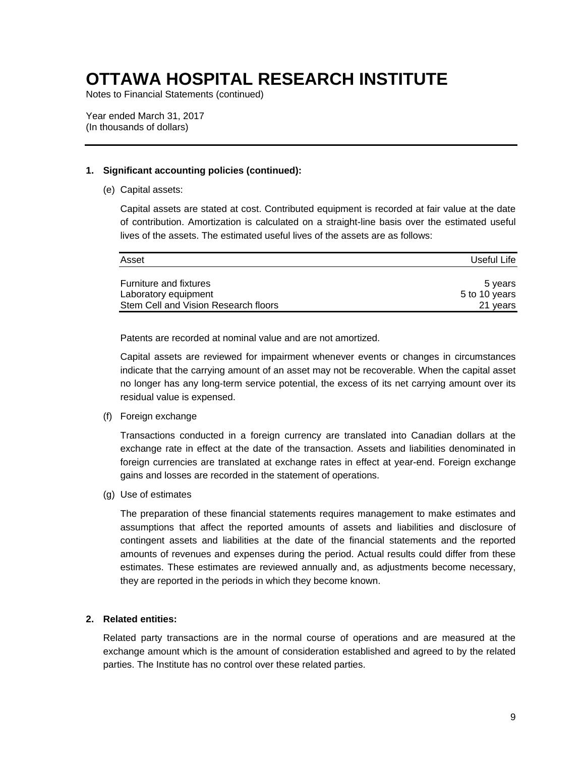Notes to Financial Statements (continued)

Year ended March 31, 2017 (In thousands of dollars)

### **1. Significant accounting policies (continued):**

### (e) Capital assets:

Capital assets are stated at cost. Contributed equipment is recorded at fair value at the date of contribution. Amortization is calculated on a straight-line basis over the estimated useful lives of the assets. The estimated useful lives of the assets are as follows:

| Asset                                | Useful Life   |
|--------------------------------------|---------------|
|                                      |               |
| <b>Furniture and fixtures</b>        | 5 years       |
| Laboratory equipment                 | 5 to 10 years |
| Stem Cell and Vision Research floors | 21 vears      |

Patents are recorded at nominal value and are not amortized.

Capital assets are reviewed for impairment whenever events or changes in circumstances indicate that the carrying amount of an asset may not be recoverable. When the capital asset no longer has any long-term service potential, the excess of its net carrying amount over its residual value is expensed.

(f) Foreign exchange

Transactions conducted in a foreign currency are translated into Canadian dollars at the exchange rate in effect at the date of the transaction. Assets and liabilities denominated in foreign currencies are translated at exchange rates in effect at year-end. Foreign exchange gains and losses are recorded in the statement of operations.

(g) Use of estimates

The preparation of these financial statements requires management to make estimates and assumptions that affect the reported amounts of assets and liabilities and disclosure of contingent assets and liabilities at the date of the financial statements and the reported amounts of revenues and expenses during the period. Actual results could differ from these estimates. These estimates are reviewed annually and, as adjustments become necessary, they are reported in the periods in which they become known.

#### **2. Related entities:**

Related party transactions are in the normal course of operations and are measured at the exchange amount which is the amount of consideration established and agreed to by the related parties. The Institute has no control over these related parties.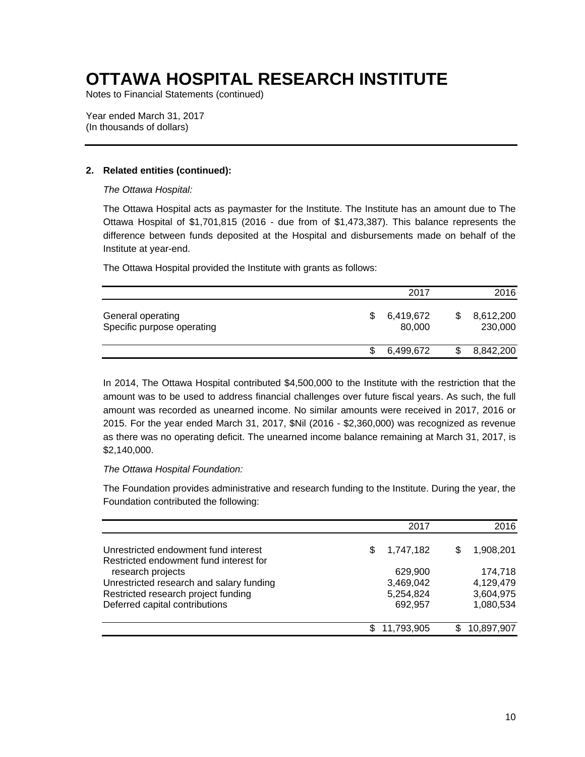Notes to Financial Statements (continued)

Year ended March 31, 2017 (In thousands of dollars)

### **2. Related entities (continued):**

*The Ottawa Hospital:*

The Ottawa Hospital acts as paymaster for the Institute. The Institute has an amount due to The Ottawa Hospital of \$1,701,815 (2016 - due from of \$1,473,387). This balance represents the difference between funds deposited at the Hospital and disbursements made on behalf of the Institute at year-end.

The Ottawa Hospital provided the Institute with grants as follows:

|                                                 | 2017                |   | 2016                 |
|-------------------------------------------------|---------------------|---|----------------------|
| General operating<br>Specific purpose operating | 6,419,672<br>80,000 | S | 8,612,200<br>230,000 |
|                                                 | 6,499,672           |   | 8,842,200            |

In 2014, The Ottawa Hospital contributed \$4,500,000 to the Institute with the restriction that the amount was to be used to address financial challenges over future fiscal years. As such, the full amount was recorded as unearned income. No similar amounts were received in 2017, 2016 or 2015. For the year ended March 31, 2017, \$Nil (2016 - \$2,360,000) was recognized as revenue as there was no operating deficit. The unearned income balance remaining at March 31, 2017, is \$2,140,000.

#### *The Ottawa Hospital Foundation:*

The Foundation provides administrative and research funding to the Institute. During the year, the Foundation contributed the following:

|                                                                                | 2017             | 2016       |
|--------------------------------------------------------------------------------|------------------|------------|
| Unrestricted endowment fund interest<br>Restricted endowment fund interest for | 1,747,182<br>\$. | 1,908,201  |
| research projects                                                              | 629,900          | 174,718    |
| Unrestricted research and salary funding                                       | 3,469,042        | 4,129,479  |
| Restricted research project funding                                            | 5,254,824        | 3,604,975  |
| Deferred capital contributions                                                 | 692,957          | 1,080,534  |
|                                                                                | 11,793,905       | 10,897,907 |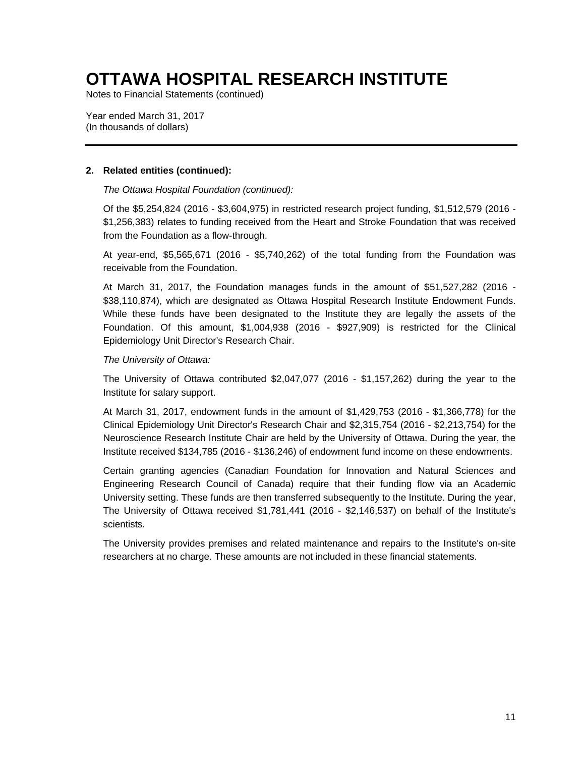Notes to Financial Statements (continued)

Year ended March 31, 2017 (In thousands of dollars)

### **2. Related entities (continued):**

### *The Ottawa Hospital Foundation (continued):*

Of the \$5,254,824 (2016 - \$3,604,975) in restricted research project funding, \$1,512,579 (2016 - \$1,256,383) relates to funding received from the Heart and Stroke Foundation that was received from the Foundation as a flow-through.

At year-end, \$5,565,671 (2016 - \$5,740,262) of the total funding from the Foundation was receivable from the Foundation.

At March 31, 2017, the Foundation manages funds in the amount of \$51,527,282 (2016 - \$38,110,874), which are designated as Ottawa Hospital Research Institute Endowment Funds. While these funds have been designated to the Institute they are legally the assets of the Foundation. Of this amount, \$1,004,938 (2016 - \$927,909) is restricted for the Clinical Epidemiology Unit Director's Research Chair.

### *The University of Ottawa:*

The University of Ottawa contributed \$2,047,077 (2016 - \$1,157,262) during the year to the Institute for salary support.

At March 31, 2017, endowment funds in the amount of \$1,429,753 (2016 - \$1,366,778) for the Clinical Epidemiology Unit Director's Research Chair and \$2,315,754 (2016 - \$2,213,754) for the Neuroscience Research Institute Chair are held by the University of Ottawa. During the year, the Institute received \$134,785 (2016 - \$136,246) of endowment fund income on these endowments.

Certain granting agencies (Canadian Foundation for Innovation and Natural Sciences and Engineering Research Council of Canada) require that their funding flow via an Academic University setting. These funds are then transferred subsequently to the Institute. During the year, The University of Ottawa received \$1,781,441 (2016 - \$2,146,537) on behalf of the Institute's scientists.

The University provides premises and related maintenance and repairs to the Institute's on-site researchers at no charge. These amounts are not included in these financial statements.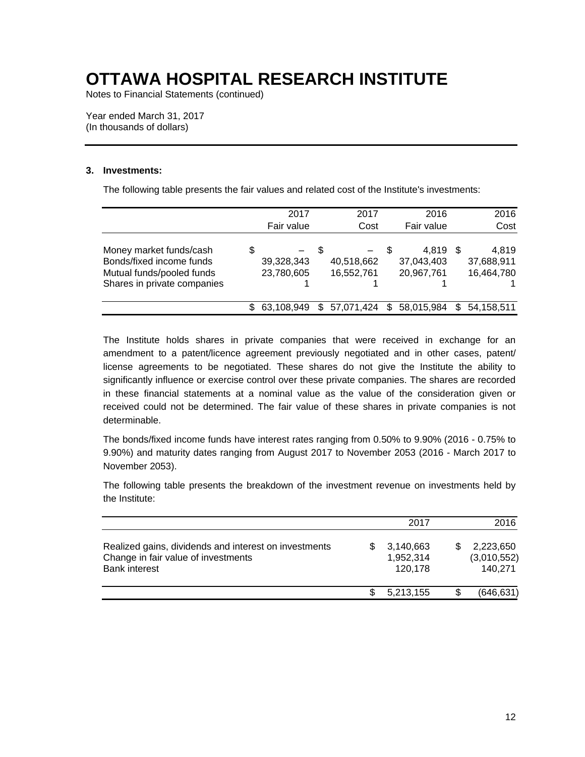Notes to Financial Statements (continued)

Year ended March 31, 2017 (In thousands of dollars)

### **3. Investments:**

The following table presents the fair values and related cost of the Institute's investments:

|                                                                                                                 | 2017<br>Fair value             |      | 2017<br>Cost             |     | 2016<br>Fair value                |    | 2016<br>Cost                      |
|-----------------------------------------------------------------------------------------------------------------|--------------------------------|------|--------------------------|-----|-----------------------------------|----|-----------------------------------|
| Money market funds/cash<br>Bonds/fixed income funds<br>Mutual funds/pooled funds<br>Shares in private companies | \$<br>39,328,343<br>23,780,605 | - \$ | 40,518,662<br>16,552,761 |     | 4.819<br>37,043,403<br>20,967,761 | S  | 4.819<br>37,688,911<br>16,464,780 |
|                                                                                                                 | 63.108.949                     | \$.  | 57.071.424               | \$. | 58,015,984                        | S. | 54.158.511                        |

The Institute holds shares in private companies that were received in exchange for an amendment to a patent/licence agreement previously negotiated and in other cases, patent/ license agreements to be negotiated. These shares do not give the Institute the ability to significantly influence or exercise control over these private companies. The shares are recorded in these financial statements at a nominal value as the value of the consideration given or received could not be determined. The fair value of these shares in private companies is not determinable.

The bonds/fixed income funds have interest rates ranging from 0.50% to 9.90% (2016 - 0.75% to 9.90%) and maturity dates ranging from August 2017 to November 2053 (2016 - March 2017 to November 2053).

The following table presents the breakdown of the investment revenue on investments held by the Institute:

|                                                                                                                      | 2017                              | 2016                                |
|----------------------------------------------------------------------------------------------------------------------|-----------------------------------|-------------------------------------|
| Realized gains, dividends and interest on investments<br>Change in fair value of investments<br><b>Bank interest</b> | 3,140,663<br>1,952,314<br>120,178 | 2,223,650<br>(3,010,552)<br>140,271 |
|                                                                                                                      | 5,213,155                         | (646,631)                           |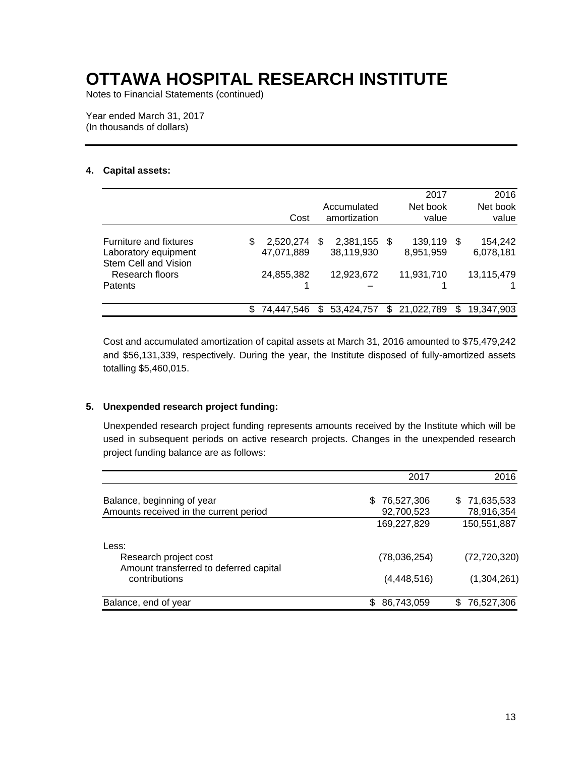Notes to Financial Statements (continued)

Year ended March 31, 2017 (In thousands of dollars)

### **4. Capital assets:**

|                                                                               |   |                         |    |                             | 2017                 |      | 2016                 |
|-------------------------------------------------------------------------------|---|-------------------------|----|-----------------------------|----------------------|------|----------------------|
|                                                                               |   | Cost                    |    | Accumulated<br>amortization | Net book<br>value    |      | Net book<br>value    |
| <b>Furniture and fixtures</b><br>Laboratory equipment<br>Stem Cell and Vision | S | 2,520,274<br>47,071,889 | -S | 2,381,155 \$<br>38,119,930  | 139,119<br>8,951,959 | - \$ | 154,242<br>6,078,181 |
| Research floors<br>Patents                                                    |   | 24,855,382              |    | 12,923,672                  | 11,931,710           |      | 13,115,479           |
|                                                                               |   | 74.447.546              | S  | 53.424.757                  | \$21,022,789         | \$   | 19.347.903           |

Cost and accumulated amortization of capital assets at March 31, 2016 amounted to \$75,479,242 and \$56,131,339, respectively. During the year, the Institute disposed of fully-amortized assets totalling \$5,460,015.

### **5. Unexpended research project funding:**

Unexpended research project funding represents amounts received by the Institute which will be used in subsequent periods on active research projects. Changes in the unexpended research project funding balance are as follows:

|                                                                 | 2017              | 2016            |
|-----------------------------------------------------------------|-------------------|-----------------|
| Balance, beginning of year                                      | 76,527,306<br>\$. | \$71,635,533    |
| Amounts received in the current period                          | 92,700,523        | 78,916,354      |
|                                                                 | 169,227,829       | 150,551,887     |
| Less:                                                           |                   |                 |
| Research project cost<br>Amount transferred to deferred capital | (78,036,254)      | (72, 720, 320)  |
| contributions                                                   | (4, 448, 516)     | (1,304,261)     |
| Balance, end of year                                            | 86,743,059<br>S.  | 76,527,306<br>S |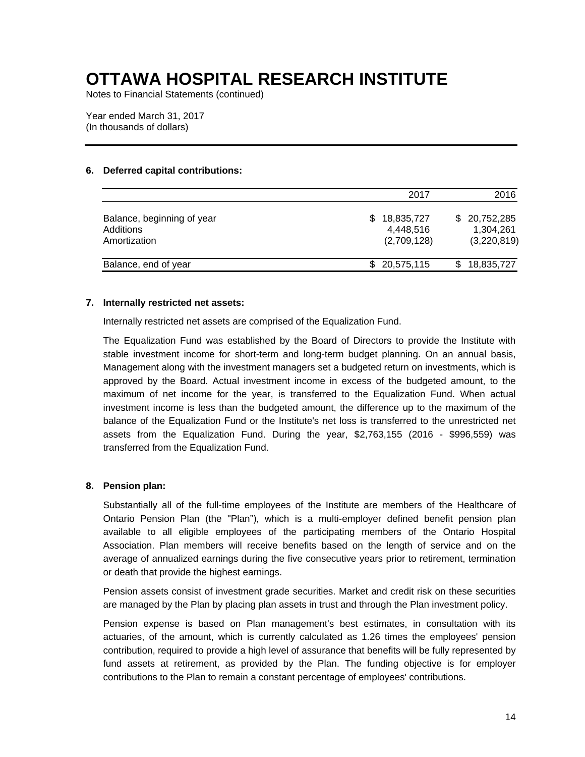Notes to Financial Statements (continued)

Year ended March 31, 2017 (In thousands of dollars)

### **6. Deferred capital contributions:**

|                                                         | 2017                                         | 2016                                     |
|---------------------------------------------------------|----------------------------------------------|------------------------------------------|
| Balance, beginning of year<br>Additions<br>Amortization | 18,835,727<br>\$<br>4,448,516<br>(2,709,128) | \$20,752,285<br>1,304,261<br>(3,220,819) |
| Balance, end of year                                    | \$20,575,115                                 | 18,835,727<br>S.                         |

### **7. Internally restricted net assets:**

Internally restricted net assets are comprised of the Equalization Fund.

The Equalization Fund was established by the Board of Directors to provide the Institute with stable investment income for short-term and long-term budget planning. On an annual basis, Management along with the investment managers set a budgeted return on investments, which is approved by the Board. Actual investment income in excess of the budgeted amount, to the maximum of net income for the year, is transferred to the Equalization Fund. When actual investment income is less than the budgeted amount, the difference up to the maximum of the balance of the Equalization Fund or the Institute's net loss is transferred to the unrestricted net assets from the Equalization Fund. During the year, \$2,763,155 (2016 - \$996,559) was transferred from the Equalization Fund.

### **8. Pension plan:**

Substantially all of the full-time employees of the Institute are members of the Healthcare of Ontario Pension Plan (the "Plan"), which is a multi-employer defined benefit pension plan available to all eligible employees of the participating members of the Ontario Hospital Association. Plan members will receive benefits based on the length of service and on the average of annualized earnings during the five consecutive years prior to retirement, termination or death that provide the highest earnings.

Pension assets consist of investment grade securities. Market and credit risk on these securities are managed by the Plan by placing plan assets in trust and through the Plan investment policy.

Pension expense is based on Plan management's best estimates, in consultation with its actuaries, of the amount, which is currently calculated as 1.26 times the employees' pension contribution, required to provide a high level of assurance that benefits will be fully represented by fund assets at retirement, as provided by the Plan. The funding objective is for employer contributions to the Plan to remain a constant percentage of employees' contributions.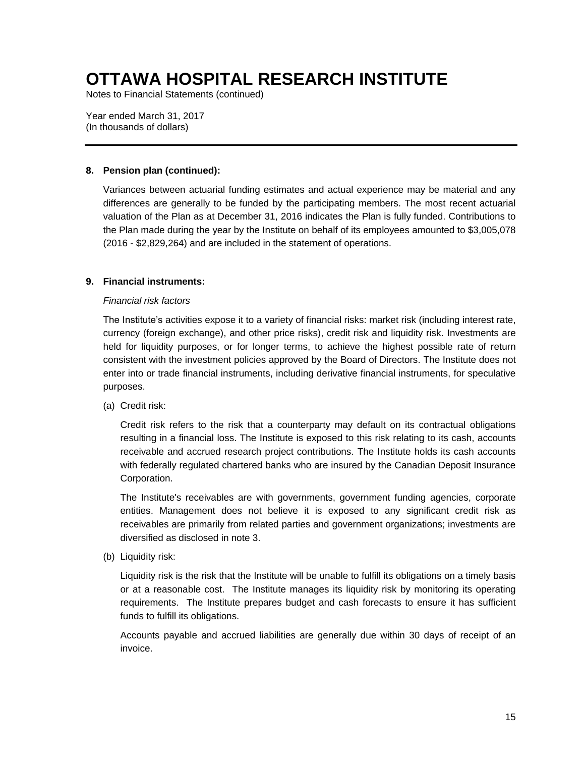Notes to Financial Statements (continued)

Year ended March 31, 2017 (In thousands of dollars)

### **8. Pension plan (continued):**

Variances between actuarial funding estimates and actual experience may be material and any differences are generally to be funded by the participating members. The most recent actuarial valuation of the Plan as at December 31, 2016 indicates the Plan is fully funded. Contributions to the Plan made during the year by the Institute on behalf of its employees amounted to \$3,005,078 (2016 - \$2,829,264) and are included in the statement of operations.

### **9. Financial instruments:**

#### *Financial risk factors*

The Institute's activities expose it to a variety of financial risks: market risk (including interest rate, currency (foreign exchange), and other price risks), credit risk and liquidity risk. Investments are held for liquidity purposes, or for longer terms, to achieve the highest possible rate of return consistent with the investment policies approved by the Board of Directors. The Institute does not enter into or trade financial instruments, including derivative financial instruments, for speculative purposes.

(a) Credit risk:

Credit risk refers to the risk that a counterparty may default on its contractual obligations resulting in a financial loss. The Institute is exposed to this risk relating to its cash, accounts receivable and accrued research project contributions. The Institute holds its cash accounts with federally regulated chartered banks who are insured by the Canadian Deposit Insurance Corporation.

The Institute's receivables are with governments, government funding agencies, corporate entities. Management does not believe it is exposed to any significant credit risk as receivables are primarily from related parties and government organizations; investments are diversified as disclosed in note 3.

(b) Liquidity risk:

Liquidity risk is the risk that the Institute will be unable to fulfill its obligations on a timely basis or at a reasonable cost. The Institute manages its liquidity risk by monitoring its operating requirements. The Institute prepares budget and cash forecasts to ensure it has sufficient funds to fulfill its obligations.

Accounts payable and accrued liabilities are generally due within 30 days of receipt of an invoice.